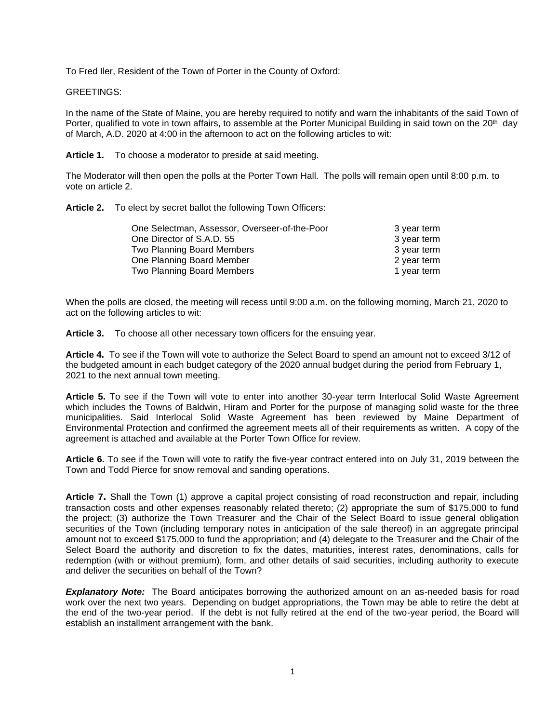To Fred Iler, Resident of the Town of Porter in the County of Oxford:

## GREETINGS:

In the name of the State of Maine, you are hereby required to notify and warn the inhabitants of the said Town of Porter, qualified to vote in town affairs, to assemble at the Porter Municipal Building in said town on the 20<sup>th</sup> day of March, A.D. 2020 at 4:00 in the afternoon to act on the following articles to wit:

**Article 1.** To choose a moderator to preside at said meeting.

The Moderator will then open the polls at the Porter Town Hall. The polls will remain open until 8:00 p.m. to vote on article 2.

**Article 2.** To elect by secret ballot the following Town Officers:

| One Selectman, Assessor, Overseer-of-the-Poor | 3 year term |
|-----------------------------------------------|-------------|
| One Director of S.A.D. 55                     | 3 year term |
| Two Planning Board Members                    | 3 year term |
| One Planning Board Member                     | 2 year term |
| <b>Two Planning Board Members</b>             | 1 year term |

When the polls are closed, the meeting will recess until 9:00 a.m. on the following morning, March 21, 2020 to act on the following articles to wit:

**Article 3.** To choose all other necessary town officers for the ensuing year.

**Article 4.** To see if the Town will vote to authorize the Select Board to spend an amount not to exceed 3/12 of the budgeted amount in each budget category of the 2020 annual budget during the period from February 1, 2021 to the next annual town meeting.

**Article 5.** To see if the Town will vote to enter into another 30-year term Interlocal Solid Waste Agreement which includes the Towns of Baldwin, Hiram and Porter for the purpose of managing solid waste for the three municipalities. Said Interlocal Solid Waste Agreement has been reviewed by Maine Department of Environmental Protection and confirmed the agreement meets all of their requirements as written. A copy of the agreement is attached and available at the Porter Town Office for review.

**Article 6.** To see if the Town will vote to ratify the five-year contract entered into on July 31, 2019 between the Town and Todd Pierce for snow removal and sanding operations.

**Article 7.** Shall the Town (1) approve a capital project consisting of road reconstruction and repair, including transaction costs and other expenses reasonably related thereto; (2) appropriate the sum of \$175,000 to fund the project; (3) authorize the Town Treasurer and the Chair of the Select Board to issue general obligation securities of the Town (including temporary notes in anticipation of the sale thereof) in an aggregate principal amount not to exceed \$175,000 to fund the appropriation; and (4) delegate to the Treasurer and the Chair of the Select Board the authority and discretion to fix the dates, maturities, interest rates, denominations, calls for redemption (with or without premium), form, and other details of said securities, including authority to execute and deliver the securities on behalf of the Town?

**Explanatory Note:** The Board anticipates borrowing the authorized amount on an as-needed basis for road work over the next two years. Depending on budget appropriations, the Town may be able to retire the debt at the end of the two-year period. If the debt is not fully retired at the end of the two-year period, the Board will establish an installment arrangement with the bank.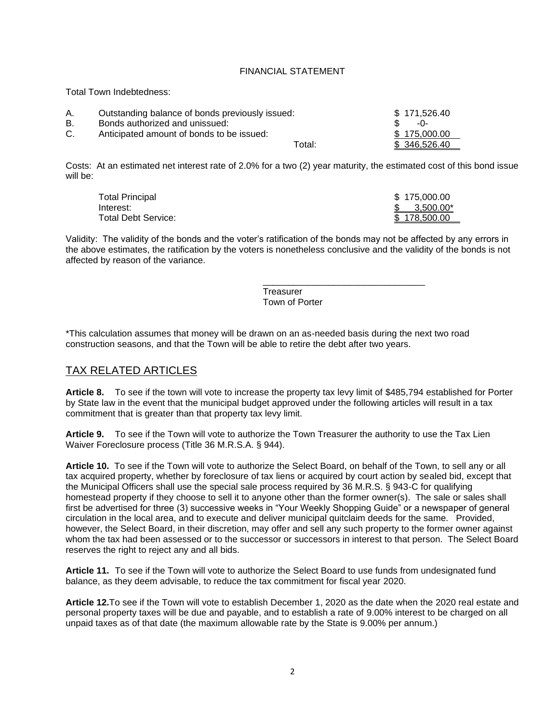## FINANCIAL STATEMENT

Total Town Indebtedness:

| А. | Outstanding balance of bonds previously issued: | \$171,526.40 |
|----|-------------------------------------------------|--------------|
| В. | Bonds authorized and unissued:                  | -ባ-          |
|    | Anticipated amount of bonds to be issued:       | \$175,000.00 |
|    | Total:                                          | \$346,526.40 |

Costs: At an estimated net interest rate of 2.0% for a two (2) year maturity, the estimated cost of this bond issue will be:

| Total Principal     | \$175,000,00 |
|---------------------|--------------|
| Interest:           | 3.500.00*    |
| Total Debt Service: | \$178,500,00 |
|                     |              |

Validity: The validity of the bonds and the voter's ratification of the bonds may not be affected by any errors in the above estimates, the ratification by the voters is nonetheless conclusive and the validity of the bonds is not affected by reason of the variance.

> **Treasurer** Town of Porter

\_\_\_\_\_\_\_\_\_\_\_\_\_\_\_\_\_\_\_\_\_\_\_\_\_\_\_\_\_\_\_\_

\*This calculation assumes that money will be drawn on an as-needed basis during the next two road construction seasons, and that the Town will be able to retire the debt after two years.

# TAX RELATED ARTICLES

**Article 8.** To see if the town will vote to increase the property tax levy limit of \$485,794 established for Porter by State law in the event that the municipal budget approved under the following articles will result in a tax commitment that is greater than that property tax levy limit.

**Article 9.** To see if the Town will vote to authorize the Town Treasurer the authority to use the Tax Lien Waiver Foreclosure process (Title 36 M.R.S.A. § 944).

**Article 10.** To see if the Town will vote to authorize the Select Board, on behalf of the Town, to sell any or all tax acquired property, whether by foreclosure of tax liens or acquired by court action by sealed bid, except that the Municipal Officers shall use the special sale process required by 36 M.R.S. § 943-C for qualifying homestead property if they choose to sell it to anyone other than the former owner(s). The sale or sales shall first be advertised for three (3) successive weeks in "Your Weekly Shopping Guide" or a newspaper of general circulation in the local area, and to execute and deliver municipal quitclaim deeds for the same. Provided, however, the Select Board, in their discretion, may offer and sell any such property to the former owner against whom the tax had been assessed or to the successor or successors in interest to that person. The Select Board reserves the right to reject any and all bids.

**Article 11.** To see if the Town will vote to authorize the Select Board to use funds from undesignated fund balance, as they deem advisable, to reduce the tax commitment for fiscal year 2020.

**Article 12.**To see if the Town will vote to establish December 1, 2020 as the date when the 2020 real estate and personal property taxes will be due and payable, and to establish a rate of 9.00% interest to be charged on all unpaid taxes as of that date (the maximum allowable rate by the State is 9.00% per annum.)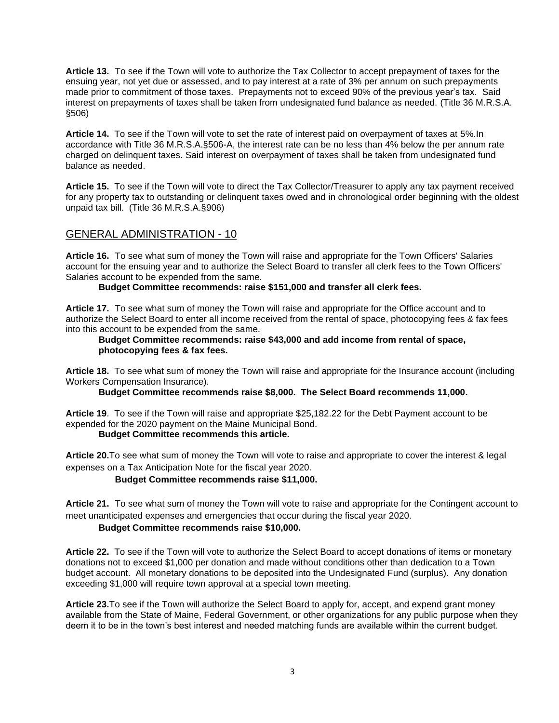**Article 13.** To see if the Town will vote to authorize the Tax Collector to accept prepayment of taxes for the ensuing year, not yet due or assessed, and to pay interest at a rate of 3% per annum on such prepayments made prior to commitment of those taxes. Prepayments not to exceed 90% of the previous year's tax. Said interest on prepayments of taxes shall be taken from undesignated fund balance as needed. (Title 36 M.R.S.A. §506)

**Article 14.** To see if the Town will vote to set the rate of interest paid on overpayment of taxes at 5%.In accordance with Title 36 M.R.S.A.§506-A, the interest rate can be no less than 4% below the per annum rate charged on delinquent taxes. Said interest on overpayment of taxes shall be taken from undesignated fund balance as needed.

**Article 15.** To see if the Town will vote to direct the Tax Collector/Treasurer to apply any tax payment received for any property tax to outstanding or delinquent taxes owed and in chronological order beginning with the oldest unpaid tax bill. (Title 36 M.R.S.A.§906)

# GENERAL ADMINISTRATION - 10

**Article 16.** To see what sum of money the Town will raise and appropriate for the Town Officers' Salaries account for the ensuing year and to authorize the Select Board to transfer all clerk fees to the Town Officers' Salaries account to be expended from the same.

**Budget Committee recommends: raise \$151,000 and transfer all clerk fees.**

**Article 17.** To see what sum of money the Town will raise and appropriate for the Office account and to authorize the Select Board to enter all income received from the rental of space, photocopying fees & fax fees into this account to be expended from the same.

## **Budget Committee recommends: raise \$43,000 and add income from rental of space, photocopying fees & fax fees.**

**Article 18.** To see what sum of money the Town will raise and appropriate for the Insurance account (including Workers Compensation Insurance).

**Budget Committee recommends raise \$8,000. The Select Board recommends 11,000.**

**Article 19**. To see if the Town will raise and appropriate \$25,182.22 for the Debt Payment account to be expended for the 2020 payment on the Maine Municipal Bond.

# **Budget Committee recommends this article.**

**Article 20.**To see what sum of money the Town will vote to raise and appropriate to cover the interest & legal expenses on a Tax Anticipation Note for the fiscal year 2020.

# **Budget Committee recommends raise \$11,000.**

**Article 21.** To see what sum of money the Town will vote to raise and appropriate for the Contingent account to meet unanticipated expenses and emergencies that occur during the fiscal year 2020.

## **Budget Committee recommends raise \$10,000.**

**Article 22.** To see if the Town will vote to authorize the Select Board to accept donations of items or monetary donations not to exceed \$1,000 per donation and made without conditions other than dedication to a Town budget account. All monetary donations to be deposited into the Undesignated Fund (surplus). Any donation exceeding \$1,000 will require town approval at a special town meeting.

**Article 23.**To see if the Town will authorize the Select Board to apply for, accept, and expend grant money available from the State of Maine, Federal Government, or other organizations for any public purpose when they deem it to be in the town's best interest and needed matching funds are available within the current budget.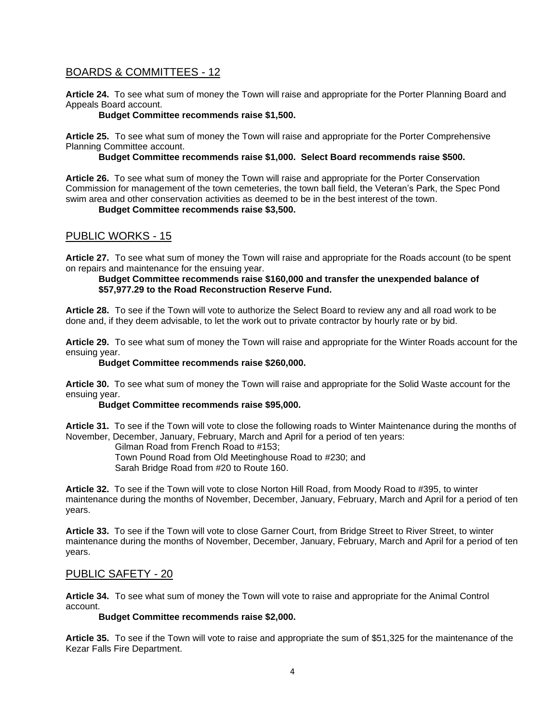# BOARDS & COMMITTEES - 12

**Article 24.** To see what sum of money the Town will raise and appropriate for the Porter Planning Board and Appeals Board account.

## **Budget Committee recommends raise \$1,500.**

**Article 25.** To see what sum of money the Town will raise and appropriate for the Porter Comprehensive Planning Committee account.

## **Budget Committee recommends raise \$1,000. Select Board recommends raise \$500.**

**Article 26.** To see what sum of money the Town will raise and appropriate for the Porter Conservation Commission for management of the town cemeteries, the town ball field, the Veteran's Park, the Spec Pond swim area and other conservation activities as deemed to be in the best interest of the town.

## **Budget Committee recommends raise \$3,500.**

# PUBLIC WORKS - 15

**Article 27.** To see what sum of money the Town will raise and appropriate for the Roads account (to be spent on repairs and maintenance for the ensuing year.

## **Budget Committee recommends raise \$160,000 and transfer the unexpended balance of \$57,977.29 to the Road Reconstruction Reserve Fund.**

**Article 28.** To see if the Town will vote to authorize the Select Board to review any and all road work to be done and, if they deem advisable, to let the work out to private contractor by hourly rate or by bid.

**Article 29.** To see what sum of money the Town will raise and appropriate for the Winter Roads account for the ensuing year.

## **Budget Committee recommends raise \$260,000.**

**Article 30.** To see what sum of money the Town will raise and appropriate for the Solid Waste account for the ensuing year.

## **Budget Committee recommends raise \$95,000.**

**Article 31.** To see if the Town will vote to close the following roads to Winter Maintenance during the months of November, December, January, February, March and April for a period of ten years:

Gilman Road from French Road to #153;

Town Pound Road from Old Meetinghouse Road to #230; and

Sarah Bridge Road from #20 to Route 160.

**Article 32.** To see if the Town will vote to close Norton Hill Road, from Moody Road to #395, to winter maintenance during the months of November, December, January, February, March and April for a period of ten years.

**Article 33.** To see if the Town will vote to close Garner Court, from Bridge Street to River Street, to winter maintenance during the months of November, December, January, February, March and April for a period of ten years.

# PUBLIC SAFETY - 20

**Article 34.** To see what sum of money the Town will vote to raise and appropriate for the Animal Control account.

## **Budget Committee recommends raise \$2,000.**

**Article 35.** To see if the Town will vote to raise and appropriate the sum of \$51,325 for the maintenance of the Kezar Falls Fire Department.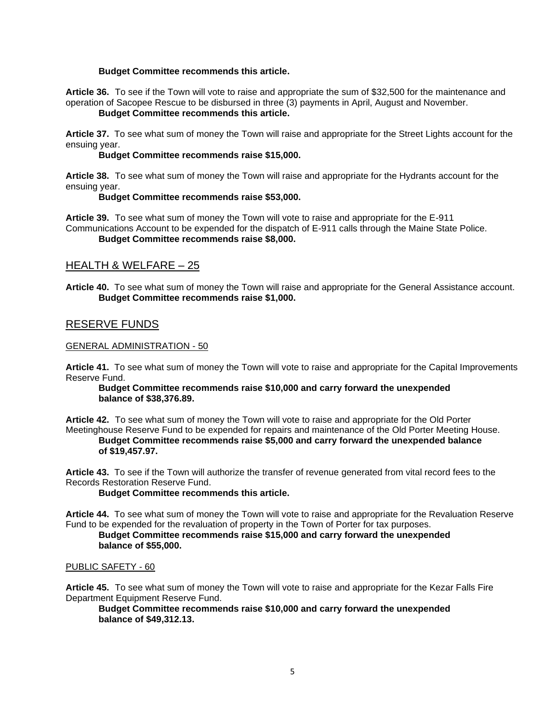## **Budget Committee recommends this article.**

**Article 36.** To see if the Town will vote to raise and appropriate the sum of \$32,500 for the maintenance and operation of Sacopee Rescue to be disbursed in three (3) payments in April, August and November. **Budget Committee recommends this article.**

**Article 37.** To see what sum of money the Town will raise and appropriate for the Street Lights account for the ensuing year.

#### **Budget Committee recommends raise \$15,000.**

**Article 38.** To see what sum of money the Town will raise and appropriate for the Hydrants account for the ensuing year.

#### **Budget Committee recommends raise \$53,000.**

**Article 39.** To see what sum of money the Town will vote to raise and appropriate for the E-911 Communications Account to be expended for the dispatch of E-911 calls through the Maine State Police.

## **Budget Committee recommends raise \$8,000.**

# HEALTH & WELFARE – 25

**Article 40.** To see what sum of money the Town will raise and appropriate for the General Assistance account. **Budget Committee recommends raise \$1,000.** 

# RESERVE FUNDS

#### GENERAL ADMINISTRATION - 50

**Article 41.** To see what sum of money the Town will vote to raise and appropriate for the Capital Improvements Reserve Fund.

#### **Budget Committee recommends raise \$10,000 and carry forward the unexpended balance of \$38,376.89.**

**Article 42.** To see what sum of money the Town will vote to raise and appropriate for the Old Porter Meetinghouse Reserve Fund to be expended for repairs and maintenance of the Old Porter Meeting House. **Budget Committee recommends raise \$5,000 and carry forward the unexpended balance of \$19,457.97.**

**Article 43.** To see if the Town will authorize the transfer of revenue generated from vital record fees to the Records Restoration Reserve Fund.

#### **Budget Committee recommends this article.**

**Article 44.** To see what sum of money the Town will vote to raise and appropriate for the Revaluation Reserve Fund to be expended for the revaluation of property in the Town of Porter for tax purposes.

## **Budget Committee recommends raise \$15,000 and carry forward the unexpended balance of \$55,000.**

#### PUBLIC SAFETY - 60

**Article 45.** To see what sum of money the Town will vote to raise and appropriate for the Kezar Falls Fire Department Equipment Reserve Fund.

**Budget Committee recommends raise \$10,000 and carry forward the unexpended balance of \$49,312.13.**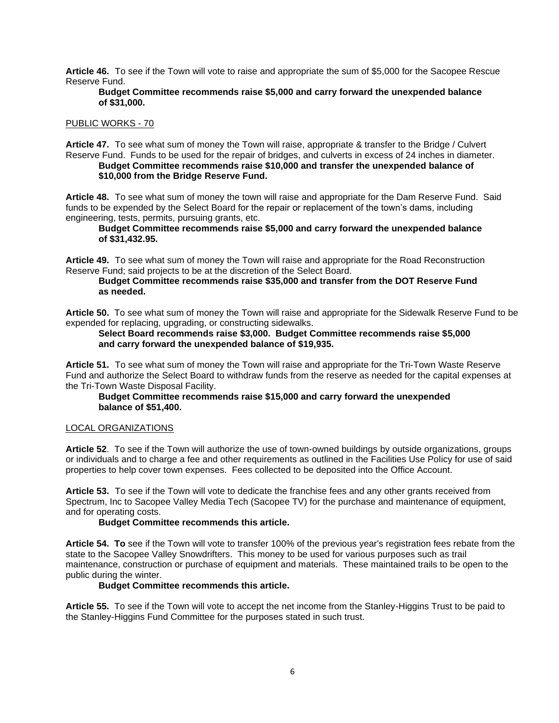**Article 46.** To see if the Town will vote to raise and appropriate the sum of \$5,000 for the Sacopee Rescue Reserve Fund.

#### **Budget Committee recommends raise \$5,000 and carry forward the unexpended balance of \$31,000.**

## PUBLIC WORKS - 70

**Article 47.** To see what sum of money the Town will raise, appropriate & transfer to the Bridge / Culvert Reserve Fund. Funds to be used for the repair of bridges, and culverts in excess of 24 inches in diameter.

## **Budget Committee recommends raise \$10,000 and transfer the unexpended balance of \$10,000 from the Bridge Reserve Fund.**

**Article 48.** To see what sum of money the town will raise and appropriate for the Dam Reserve Fund. Said funds to be expended by the Select Board for the repair or replacement of the town's dams, including engineering, tests, permits, pursuing grants, etc.

## **Budget Committee recommends raise \$5,000 and carry forward the unexpended balance of \$31,432.95.**

**Article 49.** To see what sum of money the Town will raise and appropriate for the Road Reconstruction Reserve Fund; said projects to be at the discretion of the Select Board.

### **Budget Committee recommends raise \$35,000 and transfer from the DOT Reserve Fund as needed.**

**Article 50.** To see what sum of money the Town will raise and appropriate for the Sidewalk Reserve Fund to be expended for replacing, upgrading, or constructing sidewalks.

**Select Board recommends raise \$3,000. Budget Committee recommends raise \$5,000 and carry forward the unexpended balance of \$19,935.** 

**Article 51.** To see what sum of money the Town will raise and appropriate for the Tri-Town Waste Reserve Fund and authorize the Select Board to withdraw funds from the reserve as needed for the capital expenses at the Tri-Town Waste Disposal Facility.

## **Budget Committee recommends raise \$15,000 and carry forward the unexpended balance of \$51,400.**

## LOCAL ORGANIZATIONS

**Article 52**. To see if the Town will authorize the use of town-owned buildings by outside organizations, groups or individuals and to charge a fee and other requirements as outlined in the Facilities Use Policy for use of said properties to help cover town expenses. Fees collected to be deposited into the Office Account.

**Article 53.** To see if the Town will vote to dedicate the franchise fees and any other grants received from Spectrum, Inc to Sacopee Valley Media Tech (Sacopee TV) for the purchase and maintenance of equipment, and for operating costs.

## **Budget Committee recommends this article.**

**Article 54. To** see if the Town will vote to transfer 100% of the previous year's registration fees rebate from the state to the Sacopee Valley Snowdrifters. This money to be used for various purposes such as trail maintenance, construction or purchase of equipment and materials. These maintained trails to be open to the public during the winter.

## **Budget Committee recommends this article.**

**Article 55.** To see if the Town will vote to accept the net income from the Stanley-Higgins Trust to be paid to the Stanley-Higgins Fund Committee for the purposes stated in such trust.